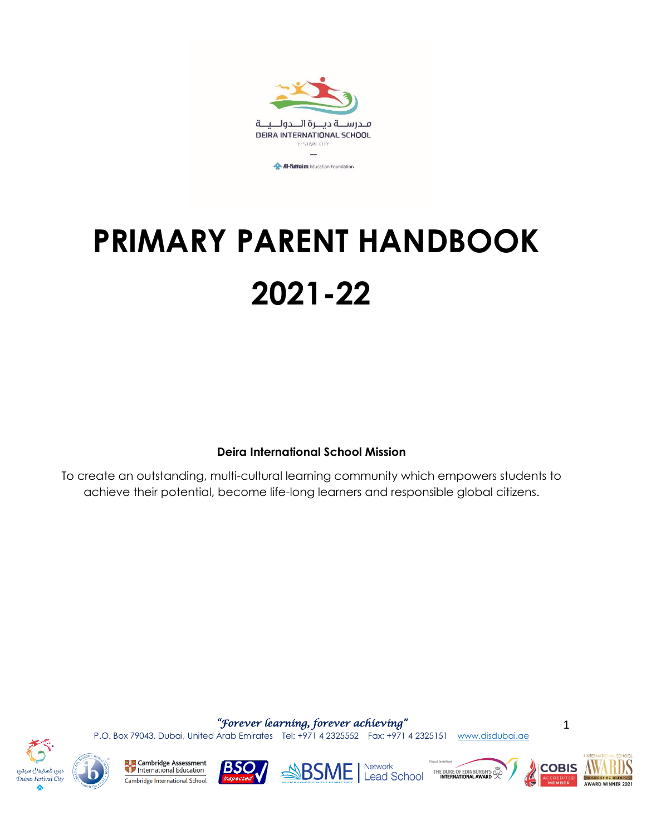

# **PRIMARY PARENT HANDBOOK 2021-22**

### **Deira International School Mission**

To create an outstanding, multi-cultural learning community which empowers students to achieve their potential, become life-long learners and responsible global citizens.

*"Forever learning, forever achieving"* 

P.O. Box 79043, Dubai, United Arab Emirates Tel: +971 4 2325552 Fax: +971 4 2325151 [www.disdubai.ae](http://www.disdubai.ae/)





**La<sub>g</sub>es** Cambridge Assessment<br>
The International Education Cambridge International School





THE DUKE OF EDINBURGH'S



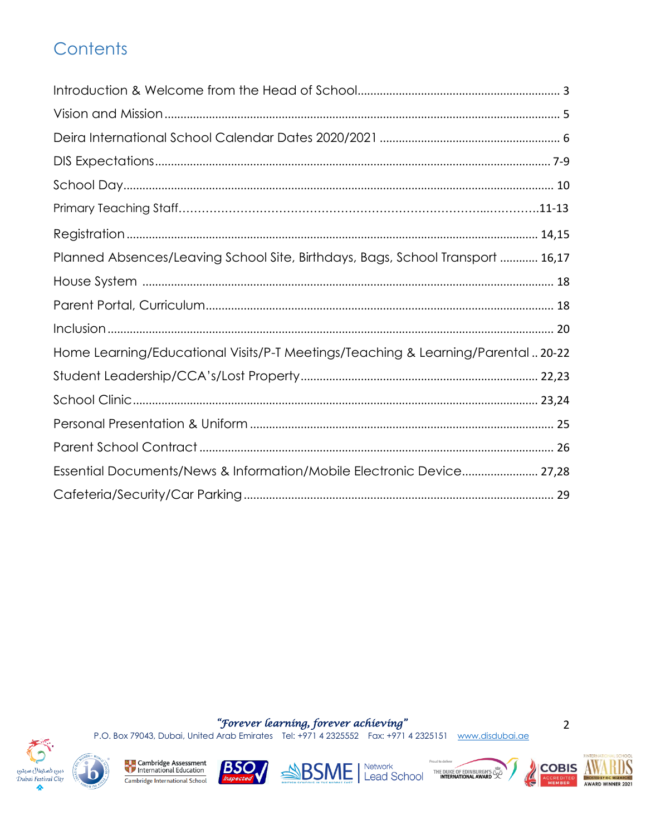# Contents

| Planned Absences/Leaving School Site, Birthdays, Bags, School Transport  16,17   |
|----------------------------------------------------------------------------------|
|                                                                                  |
|                                                                                  |
|                                                                                  |
| Home Learning/Educational Visits/P-T Meetings/Teaching & Learning/Parental 20-22 |
|                                                                                  |
|                                                                                  |
|                                                                                  |
|                                                                                  |
| Essential Documents/News & Information/Mobile Electronic Device 27,28            |
|                                                                                  |

"Forever learning, forever achieving"<br>P.O. Box 79043, Dubai, United Arab Emirates Tel: +971 4 2325552 Fax: +971 4 2325151 www.disdubai.ae



**Example 2** Cambridge Assessment Cambridge International School











 $\mathbf 2$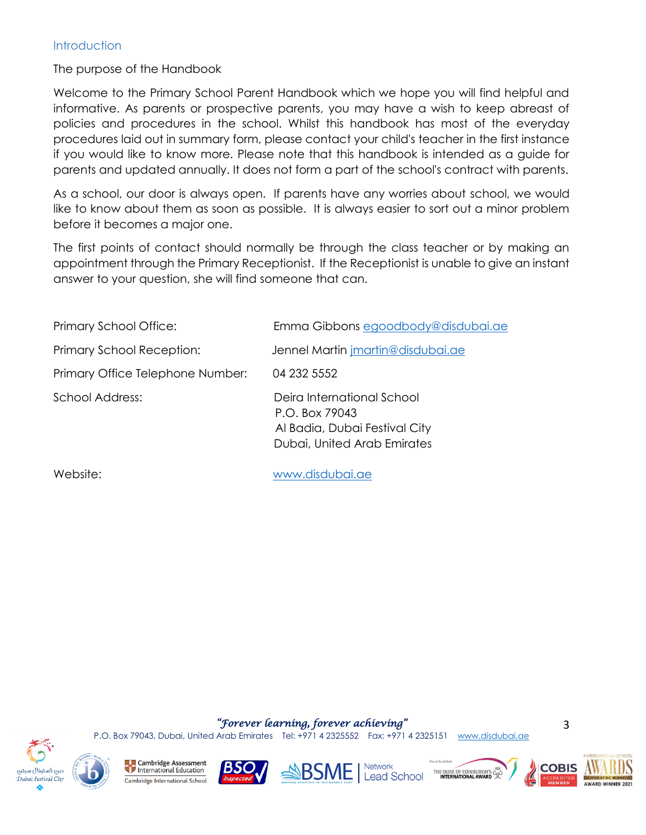#### **Introduction**

The purpose of the Handbook

Welcome to the Primary School Parent Handbook which we hope you will find helpful and informative. As parents or prospective parents, you may have a wish to keep abreast of policies and procedures in the school. Whilst this handbook has most of the everyday procedures laid out in summary form, please contact your child's teacher in the first instance if you would like to know more. Please note that this handbook is intended as a guide for parents and updated annually. It does not form a part of the school's contract with parents.

As a school, our door is always open. If parents have any worries about school, we would like to know about them as soon as possible. It is always easier to sort out a minor problem before it becomes a major one.

The first points of contact should normally be through the class teacher or by making an appointment through the Primary Receptionist. If the Receptionist is unable to give an instant answer to your question, she will find someone that can.

| Primary School Office:           | Emma Gibbons egoodbody@disdubai.ae                                                                           |
|----------------------------------|--------------------------------------------------------------------------------------------------------------|
| Primary School Reception:        | Jennel Martin <i>imartin@disdubai.ae</i>                                                                     |
| Primary Office Telephone Number: | 04 232 5552                                                                                                  |
| <b>School Address:</b>           | Deira International School<br>P.O. Box 79043<br>Al Badia, Dubai Festival City<br>Dubai, United Arab Emirates |
| Website:                         | www.disdubai.ae                                                                                              |

*"Forever learning, forever achieving"* 



Cambridge Assessment International Education Cambridge International School









3



P.O. Box 79043, Dubai, United Arab Emirates Tel: +971 4 2325552 Fax: +971 4 2325151 [www.disdubai.ae](http://www.disdubai.ae/)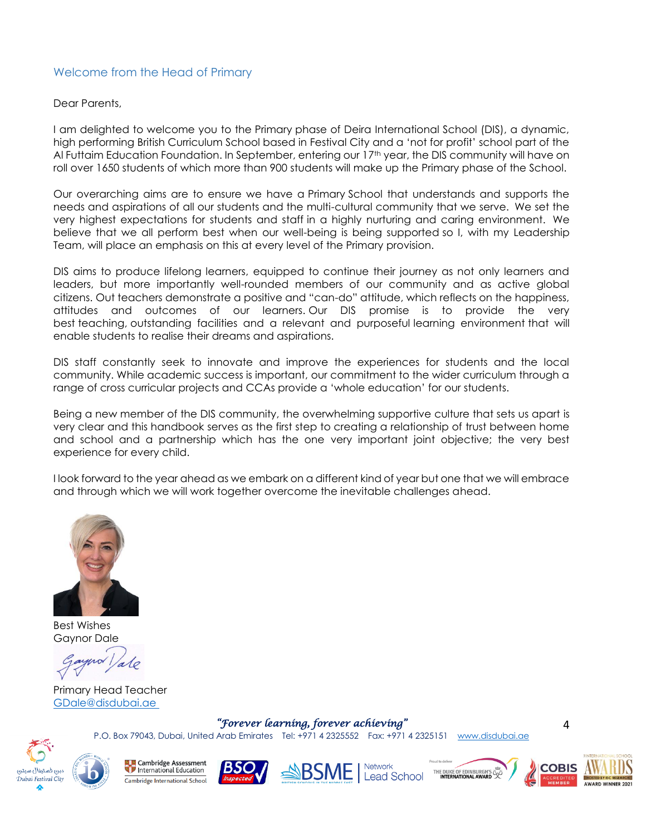#### Welcome from the Head of Primary

#### Dear Parents,

I am delighted to welcome you to the Primary phase of Deira International School (DIS), a dynamic, high performing British Curriculum School based in Festival City and a 'not for profit' school part of the Al Futtaim Education Foundation. In September, entering our 17<sup>th</sup> year, the DIS community will have on roll over 1650 students of which more than 900 students will make up the Primary phase of the School.

Our overarching aims are to ensure we have a Primary School that understands and supports the needs and aspirations of all our students and the multi-cultural community that we serve. We set the very highest expectations for students and staff in a highly nurturing and caring environment. We believe that we all perform best when our well-being is being supported so I, with my Leadership Team, will place an emphasis on this at every level of the Primary provision.

DIS aims to produce lifelong learners, equipped to continue their journey as not only learners and leaders, but more importantly well-rounded members of our community and as active global citizens. Out teachers demonstrate a positive and "can-do" attitude, which reflects on the happiness, attitudes and outcomes of our learners. Our DIS promise is to provide the very best teaching, outstanding facilities and a relevant and purposeful learning environment that will enable students to realise their dreams and aspirations.

DIS staff constantly seek to innovate and improve the experiences for students and the local community. While academic success is important, our commitment to the wider curriculum through a range of cross curricular projects and CCAs provide a 'whole education' for our students.

Being a new member of the DIS community, the overwhelming supportive culture that sets us apart is very clear and this handbook serves as the first step to creating a relationship of trust between home and school and a partnership which has the one very important joint objective; the very best experience for every child.

I look forward to the year ahead as we embark on a different kind of year but one that we will embrace and through which we will work together overcome the inevitable challenges ahead.



Best Wishes Gaynor Dale

Primary Head Teacher [GDale@disdubai.ae](mailto:GDale@disdubai.ae )

*"Forever learning, forever achieving"* 

P.O. Box 79043, Dubai, United Arab Emirates Tel: +971 4 2325552 Fax: +971 4 2325151 [www.disdubai.ae](http://www.disdubai.ae/)



**Cambridge Assessment Cambridge Assessment**<br> **The International Education** Cambridge International School









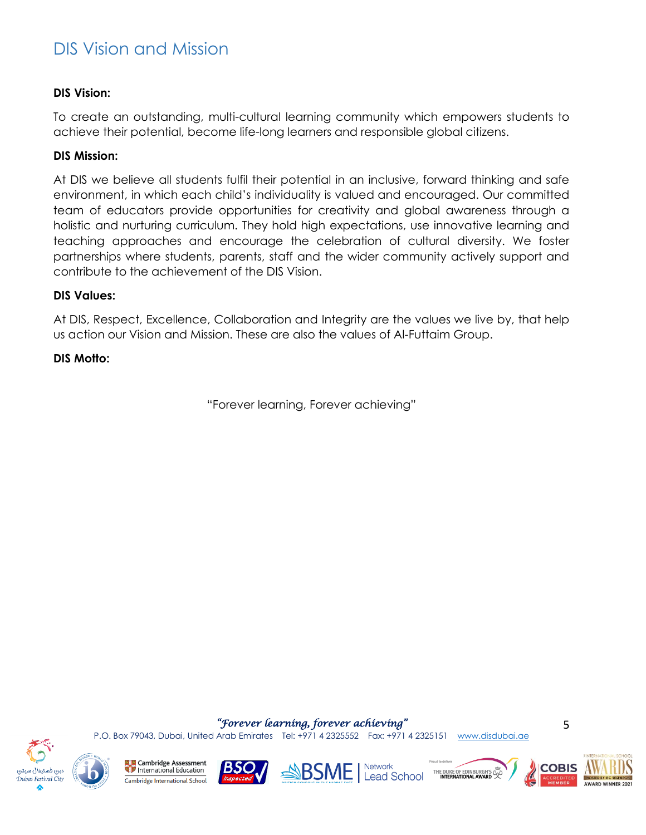### <span id="page-4-0"></span>DIS Vision and Mission

#### **DIS Vision:**

To create an outstanding, multi-cultural learning community which empowers students to achieve their potential, become life-long learners and responsible global citizens.

#### **DIS Mission:**

At DIS we believe all students fulfil their potential in an inclusive, forward thinking and safe environment, in which each child's individuality is valued and encouraged. Our committed team of educators provide opportunities for creativity and global awareness through a holistic and nurturing curriculum. They hold high expectations, use innovative learning and teaching approaches and encourage the celebration of cultural diversity. We foster partnerships where students, parents, staff and the wider community actively support and contribute to the achievement of the DIS Vision.

#### **DIS Values:**

At DIS, Respect, Excellence, Collaboration and Integrity are the values we live by, that help us action our Vision and Mission. These are also the values of Al-Futtaim Group.

#### **DIS Motto:**

"Forever learning, Forever achieving"



**Cambridge Assessment** International Education Cambridge International School





THE DUKE OF EDINBURGH'S S **Lead School** 



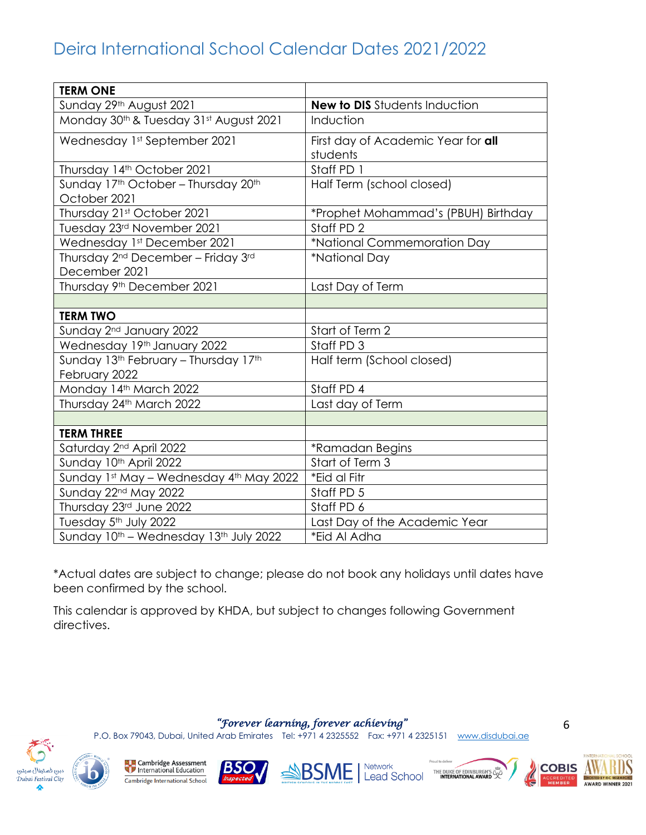# Deira International School Calendar Dates 2021/2022

| <b>TERM ONE</b>                                                             |                                                |
|-----------------------------------------------------------------------------|------------------------------------------------|
| Sunday 29th August 2021                                                     | <b>New to DIS</b> Students Induction           |
| Monday 30th & Tuesday 31st August 2021                                      | Induction                                      |
| Wednesday 1st September 2021                                                | First day of Academic Year for all<br>students |
| Thursday 14th October 2021                                                  | Staff PD 1                                     |
| Sunday 17th October - Thursday 20th<br>October 2021                         | Half Term (school closed)                      |
| Thursday 21st October 2021                                                  | *Prophet Mohammad's (PBUH) Birthday            |
| Tuesday 23rd November 2021                                                  | Staff PD 2                                     |
| Wednesday 1st December 2021                                                 | *National Commemoration Day                    |
| Thursday 2 <sup>nd</sup> December - Friday 3 <sup>rd</sup><br>December 2021 | *National Day                                  |
| Thursday 9th December 2021                                                  | Last Day of Term                               |
|                                                                             |                                                |
| <b>TERM TWO</b>                                                             |                                                |
| Sunday 2 <sup>nd</sup> January 2022                                         | Start of Term 2                                |
| Wednesday 19th January 2022                                                 | Staff PD 3                                     |
| Sunday 13th February - Thursday 17th<br>February 2022                       | Half term (School closed)                      |
| Monday 14th March 2022                                                      | Staff PD 4                                     |
| Thursday 24th March 2022                                                    | Last day of Term                               |
|                                                                             |                                                |
| <b>TERM THREE</b>                                                           |                                                |
| Saturday 2 <sup>nd</sup> April 2022                                         | *Ramadan Begins                                |
| Sunday 10th April 2022                                                      | Start of Term 3                                |
| Sunday 1st May - Wednesday 4th May 2022                                     | *Eid al Fitr                                   |
| Sunday 22nd May 2022                                                        | Staff PD 5                                     |
| Thursday 23rd June 2022                                                     | Staff PD 6                                     |
| Tuesday 5th July 2022                                                       | Last Day of the Academic Year                  |
| Sunday 10th - Wednesday 13th July 2022                                      | *Eid Al Adha                                   |

\*Actual dates are subject to change; please do not book any holidays until dates have been confirmed by the school.

This calendar is approved by KHDA, but subject to changes following Government directives.

*"Forever learning, forever achieving"* 

P.O. Box 79043, Dubai, United Arab Emirates Tel: +971 4 2325552 Fax: +971 4 2325151 [www.disdubai.ae](http://www.disdubai.ae/)



**La<sub>g</sub>es** Cambridge Assessment<br>
The International Education Cambridge International School









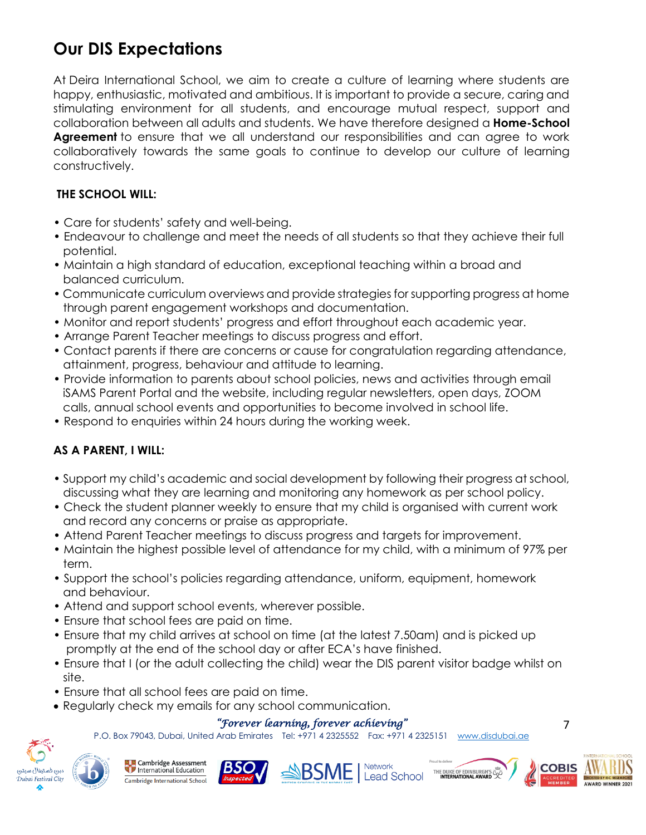# **Our DIS Expectations**

At Deira International School, we aim to create a culture of learning where students are happy, enthusiastic, motivated and ambitious. It is important to provide a secure, caring and stimulating environment for all students, and encourage mutual respect, support and collaboration between all adults and students. We have therefore designed a **Home-School Agreement** to ensure that we all understand our responsibilities and can agree to work collaboratively towards the same goals to continue to develop our culture of learning constructively.

### **THE SCHOOL WILL:**

- Care for students' safety and well-being.
- Endeavour to challenge and meet the needs of all students so that they achieve their full potential.
- Maintain a high standard of education, exceptional teaching within a broad and balanced curriculum.
- Communicate curriculum overviews and provide strategies for supporting progress at home through parent engagement workshops and documentation.
- Monitor and report students' progress and effort throughout each academic year.
- Arrange Parent Teacher meetings to discuss progress and effort.
- Contact parents if there are concerns or cause for congratulation regarding attendance, attainment, progress, behaviour and attitude to learning.
- Provide information to parents about school policies, news and activities through email iSAMS Parent Portal and the website, including regular newsletters, open days, ZOOM calls, annual school events and opportunities to become involved in school life.
- Respond to enquiries within 24 hours during the working week.

### **AS A PARENT, I WILL:**

- Support my child's academic and social development by following their progress at school, discussing what they are learning and monitoring any homework as per school policy.
- Check the student planner weekly to ensure that my child is organised with current work and record any concerns or praise as appropriate.
- Attend Parent Teacher meetings to discuss progress and targets for improvement.
- Maintain the highest possible level of attendance for my child, with a minimum of 97% per term.
- Support the school's policies regarding attendance, uniform, equipment, homework and behaviour.
- Attend and support school events, wherever possible.
- Ensure that school fees are paid on time.
- Ensure that my child arrives at school on time (at the latest 7.50am) and is picked up promptly at the end of the school day or after ECA's have finished.
- Ensure that I (or the adult collecting the child) wear the DIS parent visitor badge whilst on site.
- Ensure that all school fees are paid on time.
- Regularly check my emails for any school communication.

### *"Forever learning, forever achieving"*

P.O. Box 79043, Dubai, United Arab Emirates Tel: +971 4 2325552 Fax: +971 4 2325151 [www.disdubai.ae](http://www.disdubai.ae/)









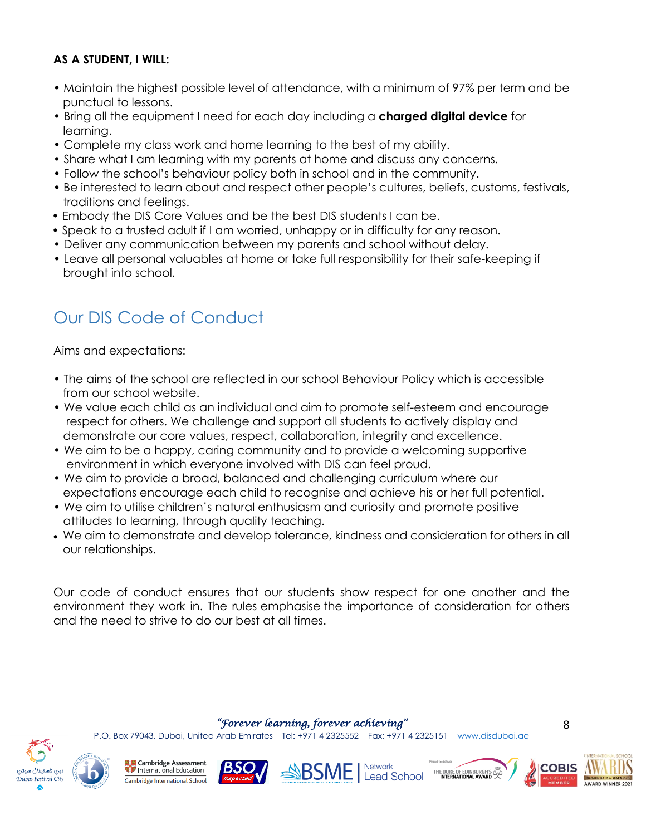#### **AS A STUDENT, I WILL:**

- Maintain the highest possible level of attendance, with a minimum of 97% per term and be punctual to lessons.
- Bring all the equipment I need for each day including a **charged digital device** for learning.
- Complete my class work and home learning to the best of my ability.
- Share what I am learning with my parents at home and discuss any concerns.
- Follow the school's behaviour policy both in school and in the community.
- Be interested to learn about and respect other people's cultures, beliefs, customs, festivals, traditions and feelings.
- Embody the DIS Core Values and be the best DIS students I can be.
- Speak to a trusted adult if I am worried, unhappy or in difficulty for any reason.
- Deliver any communication between my parents and school without delay.
- Leave all personal valuables at home or take full responsibility for their safe-keeping if brought into school.

# Our DIS Code of Conduct

Aims and expectations:

- The aims of the school are reflected in our school Behaviour Policy which is accessible from our school website.
- We value each child as an individual and aim to promote self-esteem and encourage respect for others. We challenge and support all students to actively display and demonstrate our core values, respect, collaboration, integrity and excellence.
- We aim to be a happy, caring community and to provide a welcoming supportive environment in which everyone involved with DIS can feel proud.
- We aim to provide a broad, balanced and challenging curriculum where our expectations encourage each child to recognise and achieve his or her full potential.
- We aim to utilise children's natural enthusiasm and curiosity and promote positive attitudes to learning, through quality teaching.
- We aim to demonstrate and develop tolerance, kindness and consideration for others in all our relationships.

Our code of conduct ensures that our students show respect for one another and the environment they work in. The rules emphasise the importance of consideration for others and the need to strive to do our best at all times.

*"Forever learning, forever achieving"* 

P.O. Box 79043, Dubai, United Arab Emirates Tel: +971 4 2325552 Fax: +971 4 2325151 [www.disdubai.ae](http://www.disdubai.ae/)





**Cambridge Assessment** International Education Cambridge International School









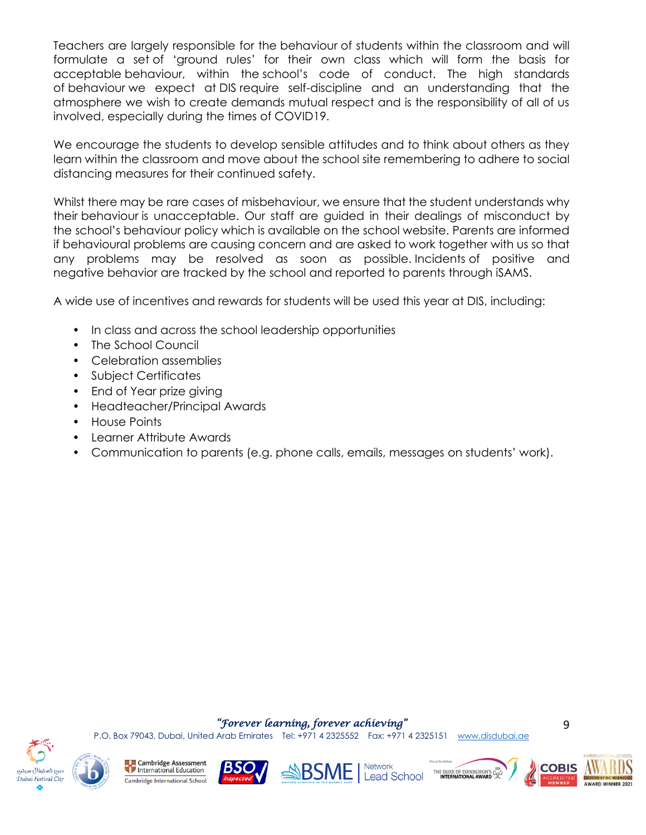Teachers are largely responsible for the behaviour of students within the classroom and will formulate a set of 'ground rules' for their own class which will form the basis for acceptable behaviour, within the school's code of conduct. The high standards of behaviour we expect at DIS require self-discipline and an understanding that the atmosphere we wish to create demands mutual respect and is the responsibility of all of us involved, especially during the times of COVID19.

We encourage the students to develop sensible attitudes and to think about others as they learn within the classroom and move about the school site remembering to adhere to social distancing measures for their continued safety.

Whilst there may be rare cases of misbehaviour, we ensure that the student understands why their behaviour is unacceptable. Our staff are guided in their dealings of misconduct by the school's behaviour policy which is available on the school website. Parents are informed if behavioural problems are causing concern and are asked to work together with us so that any problems may be resolved as soon as possible. Incidents of positive and negative behavior are tracked by the school and reported to parents through iSAMS.

A wide use of incentives and rewards for students will be used this year at DIS, including:

- In class and across the school leadership opportunities
- The School Council
- Celebration assemblies
- Subject Certificates
- End of Year prize giving
- Headteacher/Principal Awards
- House Points
- Learner Attribute Awards
- Communication to parents (e.g. phone calls, emails, messages on students' work).

#### *"Forever learning, forever achieving"*

P.O. Box 79043, Dubai, United Arab Emirates Tel: +971 4 2325552 Fax: +971 4 2325151 [www.disdubai.ae](http://www.disdubai.ae/)













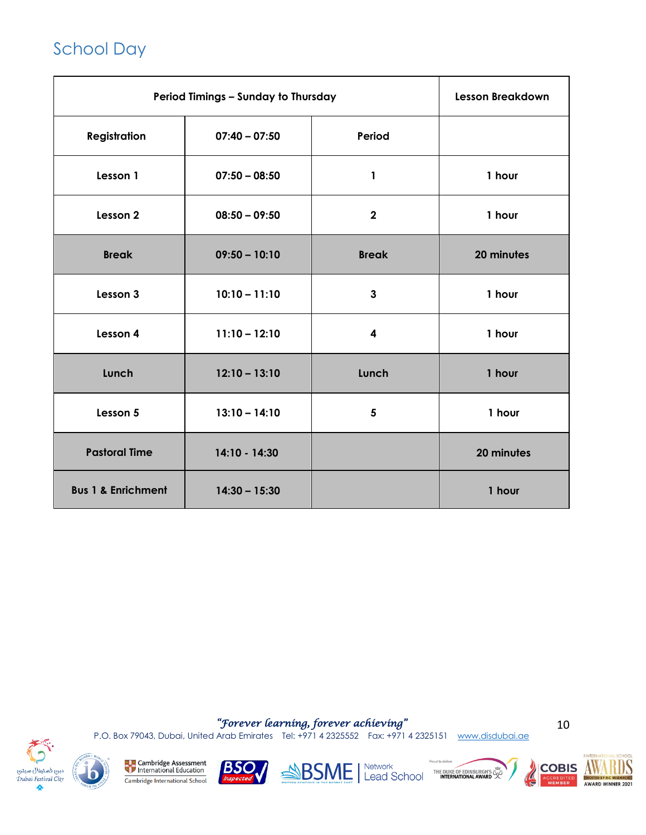# School Day

| Period Timings - Sunday to Thursday |                 | <b>Lesson Breakdown</b> |            |
|-------------------------------------|-----------------|-------------------------|------------|
| <b>Registration</b>                 | $07:40 - 07:50$ | Period                  |            |
| Lesson 1                            | $07:50 - 08:50$ | 1                       | 1 hour     |
| Lesson 2                            | $08:50 - 09:50$ | $\overline{2}$          | 1 hour     |
| <b>Break</b>                        | $09:50 - 10:10$ | <b>Break</b>            | 20 minutes |
| Lesson 3                            | $10:10 - 11:10$ | $\mathbf{3}$            | 1 hour     |
| Lesson 4                            | $11:10 - 12:10$ | 4                       | 1 hour     |
| Lunch                               | $12:10 - 13:10$ | Lunch                   | 1 hour     |
| Lesson 5                            | $13:10 - 14:10$ | 5                       | 1 hour     |
| <b>Pastoral Time</b>                | 14:10 - 14:30   |                         | 20 minutes |
| <b>Bus 1 &amp; Enrichment</b>       | $14:30 - 15:30$ |                         | 1 hour     |

*"Forever learning, forever achieving"* 

P.O. Box 79043, Dubai, United Arab Emirates Tel: +971 4 2325552 Fax: +971 4 2325151 [www.disdubai.ae](http://www.disdubai.ae/)

10



**Example 2** Cambridge Assessment Cambridge International School









**AWARD WINNER 2021**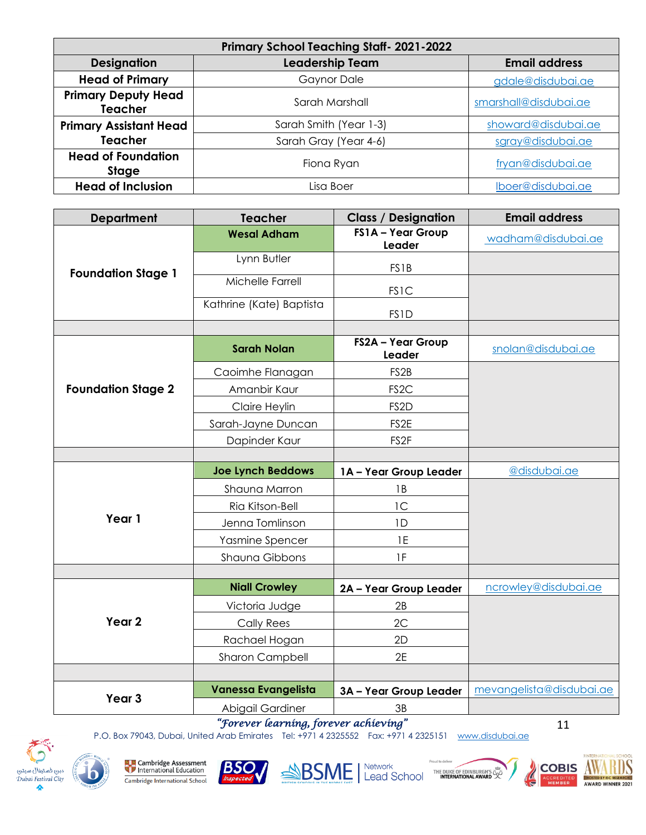| <b>Primary School Teaching Staff-2021-2022</b> |                                                |                       |  |
|------------------------------------------------|------------------------------------------------|-----------------------|--|
| <b>Designation</b>                             | <b>Leadership Team</b><br><b>Email address</b> |                       |  |
| <b>Head of Primary</b>                         | <b>Gaynor Dale</b>                             | gdale@disdubai.ae     |  |
| <b>Primary Deputy Head</b><br><b>Teacher</b>   | Sarah Marshall                                 | smarshall@disdubai.ae |  |
| <b>Primary Assistant Head</b>                  | Sarah Smith (Year 1-3)                         | showard@disdubai.ae   |  |
| <b>Teacher</b>                                 | Sarah Gray (Year 4-6)                          | sgray@disdubai.ae     |  |
| <b>Head of Foundation</b><br><b>Stage</b>      | Fiona Ryan                                     | fryan@disdubai.ae     |  |
| <b>Head of Inclusion</b>                       | Lisa Boer                                      | Iboer@disdubai.ae     |  |

| <b>Department</b>         | <b>Teacher</b>           | <b>Class / Designation</b>  | <b>Email address</b>     |
|---------------------------|--------------------------|-----------------------------|--------------------------|
|                           | <b>Wesal Adham</b>       | FS1A - Year Group<br>Leader | wadham@disdubai.ae       |
|                           | Lynn Butler              | <b>FS1B</b>                 |                          |
| <b>Foundation Stage 1</b> | Michelle Farrell         | <b>FS1C</b>                 |                          |
|                           | Kathrine (Kate) Baptista | <b>FS1D</b>                 |                          |
|                           |                          |                             |                          |
|                           | <b>Sarah Nolan</b>       | FS2A - Year Group<br>Leader | snolan@disdubai.ae       |
|                           | Caoimhe Flanagan         | FS <sub>2B</sub>            |                          |
| <b>Foundation Stage 2</b> | Amanbir Kaur             | FS <sub>2</sub> C           |                          |
|                           | Claire Heylin            | FS <sub>2D</sub>            |                          |
|                           | Sarah-Jayne Duncan       | FS2E                        |                          |
|                           | Dapinder Kaur            | FS <sub>2F</sub>            |                          |
|                           |                          |                             |                          |
|                           | <b>Joe Lynch Beddows</b> | 1A - Year Group Leader      | @disdubai.ae             |
|                           | Shauna Marron            | 1B                          |                          |
|                           | Ria Kitson-Bell          | 1C                          |                          |
| Year 1                    | Jenna Tomlinson          | 1D                          |                          |
|                           | Yasmine Spencer          | 1E                          |                          |
|                           | Shauna Gibbons           | 1F                          |                          |
|                           |                          |                             |                          |
|                           | <b>Niall Crowley</b>     | 2A - Year Group Leader      | ncrowley@disdubai.ae     |
| Year <sub>2</sub>         | Victoria Judge           | 2B                          |                          |
|                           | <b>Cally Rees</b>        | 2C                          |                          |
|                           | Rachael Hogan            | 2D                          |                          |
|                           | Sharon Campbell          | 2E                          |                          |
|                           |                          |                             |                          |
| Year <sub>3</sub>         | Vanessa Evangelista      | 3A - Year Group Leader      | mevangelista@disdubai.ae |
|                           | Abigail Gardiner         | 3B                          |                          |

*"Forever learning, forever achieving"* 

P.O. Box 79043, Dubai, United Arab Emirates Tel: +971 4 2325552 Fax: +971 4 2325151 [www.disdubai.ae](http://www.disdubai.ae/)





SSME | Network





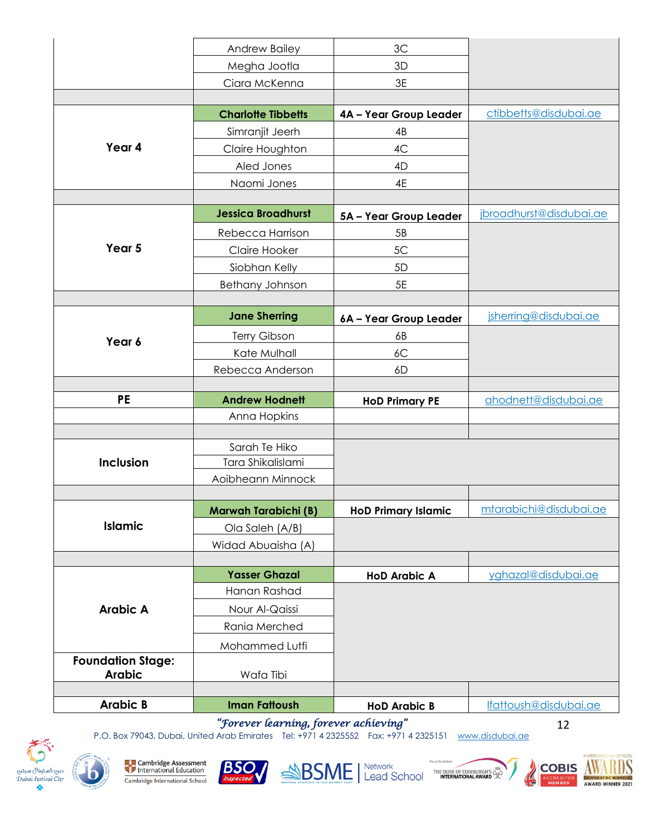|                          | Andrew Bailey                         | 3C                         |                         |
|--------------------------|---------------------------------------|----------------------------|-------------------------|
|                          | Megha Jootla                          | 3D                         |                         |
|                          | Ciara McKenna                         | 3E                         |                         |
|                          |                                       |                            |                         |
|                          | <b>Charlotte Tibbetts</b>             | 4A - Year Group Leader     | ctibbetts@disdubai.ae   |
|                          | Simranjit Jeerh                       | 4B                         |                         |
| Year 4                   | Claire Houghton                       | 4C                         |                         |
|                          | Aled Jones                            | 4D                         |                         |
|                          | Naomi Jones                           | 4E                         |                         |
|                          |                                       |                            |                         |
|                          | <b>Jessica Broadhurst</b>             | 5A - Year Group Leader     | jbroadhurst@disdubai.ae |
|                          | Rebecca Harrison                      | 5B                         |                         |
| Year 5                   | Claire Hooker                         | 5C                         |                         |
|                          | Siobhan Kelly                         | 5D                         |                         |
|                          | Bethany Johnson                       | 5E                         |                         |
|                          |                                       |                            |                         |
|                          | <b>Jane Sherring</b>                  | 6A - Year Group Leader     | jsherring@disdubai.ae   |
| Year 6                   | Terry Gibson                          | 6B                         |                         |
|                          | Kate Mulhall                          | 6C                         |                         |
|                          | Rebecca Anderson                      | 6D                         |                         |
|                          |                                       |                            |                         |
| <b>PE</b>                | <b>Andrew Hodnett</b>                 | <b>HoD Primary PE</b>      | ahodnett@disdubai.ae    |
|                          | Anna Hopkins                          |                            |                         |
|                          | Sarah Te Hiko                         |                            |                         |
| <b>Inclusion</b>         | Tara Shikalislami                     |                            |                         |
|                          | Aoibheann Minnock                     |                            |                         |
|                          |                                       |                            |                         |
|                          | <b>Marwah Tarabichi (B)</b>           | <b>HoD Primary Islamic</b> | mtarabichi@disdubai.ae  |
| <b>Islamic</b>           |                                       |                            |                         |
|                          |                                       |                            |                         |
|                          | Ola Saleh (A/B)<br>Widad Abuaisha (A) |                            |                         |
|                          |                                       |                            |                         |
|                          | <b>Yasser Ghazal</b>                  | <b>HoD Arabic A</b>        | yghazal@disdubai.ae     |
|                          | Hanan Rashad                          |                            |                         |
| <b>Arabic A</b>          | Nour Al-Qaissi                        |                            |                         |
|                          | Rania Merched                         |                            |                         |
|                          | Mohammed Lutfi                        |                            |                         |
| <b>Foundation Stage:</b> |                                       |                            |                         |
| <b>Arabic</b>            | Wafa Tibi                             |                            |                         |
| <b>Arabic B</b>          | <b>Iman Fattoush</b>                  | <b>HoD Arabic B</b>        | Ifattoush@disdubai.ae   |

*"Forever learning, forever achieving"* 

P.O. Box 79043, Dubai, United Arab Emirates Tel: +971 4 2325552 Fax: +971 4 2325151 [www.disdubai.ae](http://www.disdubai.ae/)













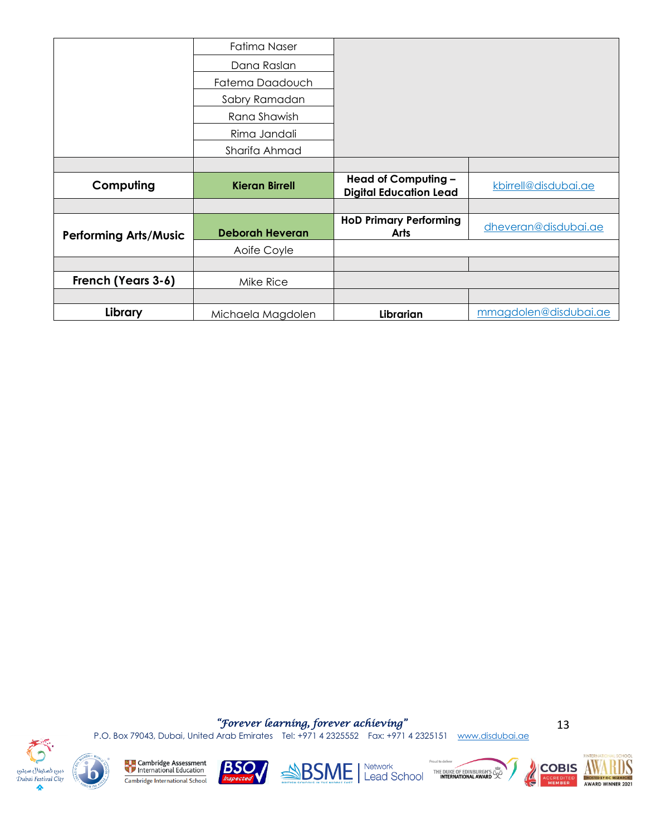|                              | Fatima Naser           |                                                      |                       |
|------------------------------|------------------------|------------------------------------------------------|-----------------------|
|                              | Dana Raslan            |                                                      |                       |
|                              | Fatema Daadouch        |                                                      |                       |
|                              | Sabry Ramadan          |                                                      |                       |
|                              | Rana Shawish           |                                                      |                       |
|                              | Rima Jandali           |                                                      |                       |
|                              | Sharifa Ahmad          |                                                      |                       |
|                              |                        |                                                      |                       |
| Computing                    | <b>Kieran Birrell</b>  | Head of Computing -<br><b>Digital Education Lead</b> | kbirrell@disdubai.ae  |
|                              |                        |                                                      |                       |
| <b>Performing Arts/Music</b> | <b>Deborah Heveran</b> | <b>HoD Primary Performing</b><br><b>Arts</b>         | dheveran@disdubai.ae  |
|                              | Aoife Coyle            |                                                      |                       |
|                              |                        |                                                      |                       |
| French (Years 3-6)           | Mike Rice              |                                                      |                       |
|                              |                        |                                                      |                       |
| Library                      | Michaela Magdolen      | Librarian                                            | mmagdolen@disdubai.ae |

*"Forever learning, forever achieving"*  P.O. Box 79043, Dubai, United Arab Emirates Tel: +971 4 2325552 Fax: +971 4 2325151 [www.disdubai.ae](http://www.disdubai.ae/)





 $\bigcap$ 

全

**Example 2** Cambridge Assessment Cambridge International School





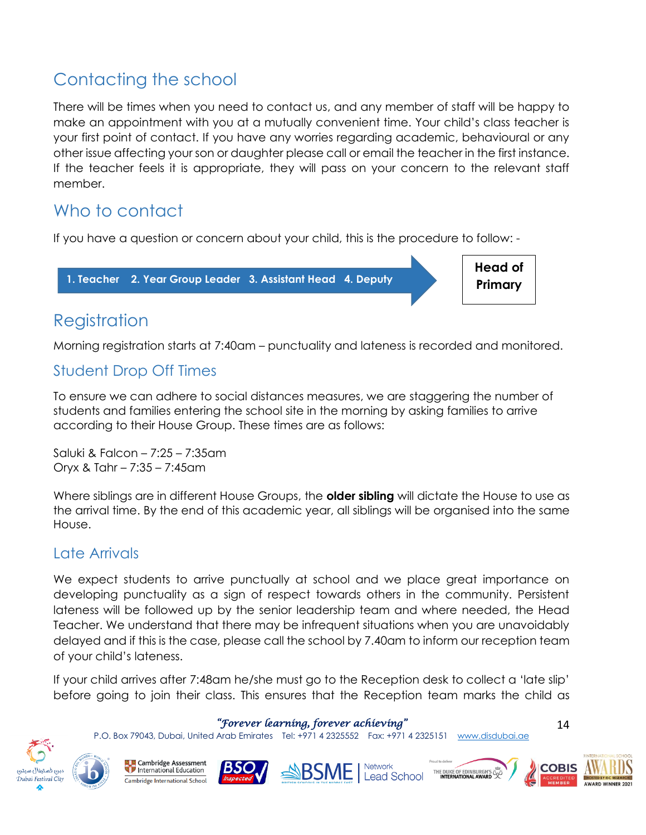# Contacting the school

There will be times when you need to contact us, and any member of staff will be happy to make an appointment with you at a mutually convenient time. Your child's class teacher is your first point of contact. If you have any worries regarding academic, behavioural or any other issue affecting your son or daughter please call or email the teacher in the first instance. If the teacher feels it is appropriate, they will pass on your concern to the relevant staff member.

### Who to contact

If you have a question or concern about your child, this is the procedure to follow: -

**1. Teacher 2. Year Group Leader 3. Assistant Head 4. Deputy** 

**Head of Primary**

# Registration

**Head**

Morning registration starts at 7:40am – punctuality and lateness is recorded and monitored.

### Student Drop Off Times

To ensure we can adhere to social distances measures, we are staggering the number of students and families entering the school site in the morning by asking families to arrive according to their House Group. These times are as follows:

Saluki & Falcon – 7:25 – 7:35am Oryx & Tahr – 7:35 – 7:45am

Where siblings are in different House Groups, the **older sibling** will dictate the House to use as the arrival time. By the end of this academic year, all siblings will be organised into the same House.

### Late Arrivals

We expect students to arrive punctually at school and we place great importance on developing punctuality as a sign of respect towards others in the community. Persistent lateness will be followed up by the senior leadership team and where needed, the Head Teacher. We understand that there may be infrequent situations when you are unavoidably delayed and if this is the case, please call the school by 7.40am to inform our reception team of your child's lateness.

If your child arrives after 7:48am he/she must go to the Reception desk to collect a 'late slip' before going to join their class. This ensures that the Reception team marks the child as

#### *"Forever learning, forever achieving"*

P.O. Box 79043, Dubai, United Arab Emirates Tel: +971 4 2325552 Fax: +971 4 2325151 [www.disdubai.ae](http://www.disdubai.ae/)



Cambridge Assessment International Education Cambridge International School







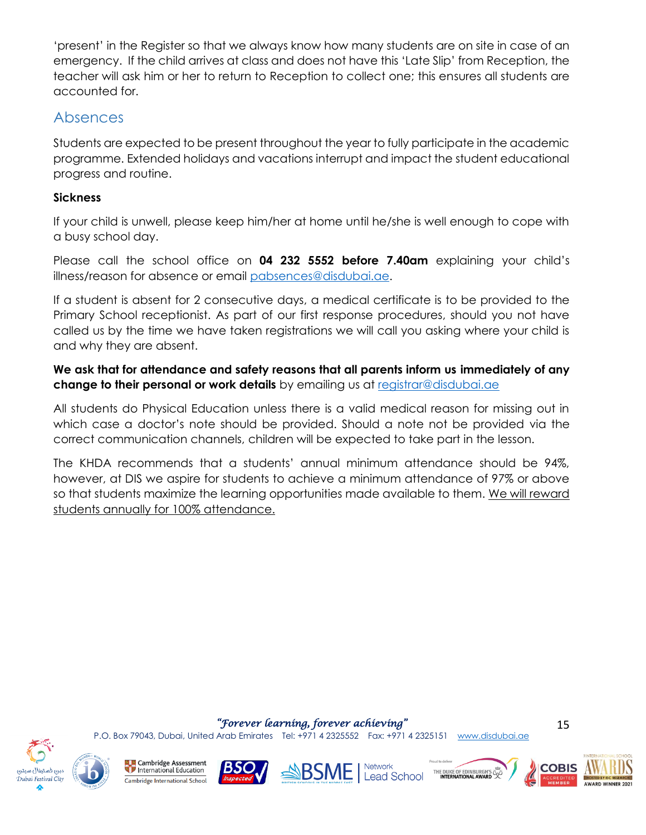'present' in the Register so that we always know how many students are on site in case of an emergency. If the child arrives at class and does not have this 'Late Slip' from Reception, the teacher will ask him or her to return to Reception to collect one; this ensures all students are accounted for.

### Absences

Students are expected to be present throughout the year to fully participate in the academic programme. Extended holidays and vacations interrupt and impact the student educational progress and routine.

### **Sickness**

If your child is unwell, please keep him/her at home until he/she is well enough to cope with a busy school day.

Please call the school office on **04 232 5552 before 7.40am** explaining your child's illness/reason for absence or email [pabsences@disdubai.ae.](mailto:pabsences@disdubai.ae)

If a student is absent for 2 consecutive days, a medical certificate is to be provided to the Primary School receptionist. As part of our first response procedures, should you not have called us by the time we have taken registrations we will call you asking where your child is and why they are absent.

**We ask that for attendance and safety reasons that all parents inform us immediately of any change to their personal or work details** by emailing us at [registrar@disdubai.ae](mailto:registrar@disdubai.ae)

All students do Physical Education unless there is a valid medical reason for missing out in which case a doctor's note should be provided. Should a note not be provided via the correct communication channels, children will be expected to take part in the lesson.

The KHDA recommends that a students' annual minimum attendance should be 94%, however, at DIS we aspire for students to achieve a minimum attendance of 97% or above so that students maximize the learning opportunities made available to them. We will reward students annually for 100% attendance.

#### *"Forever learning, forever achieving"*

P.O. Box 79043, Dubai, United Arab Emirates Tel: +971 4 2325552 Fax: +971 4 2325151 [www.disdubai.ae](http://www.disdubai.ae/)

![](_page_14_Picture_12.jpeg)

**Cambridge Assessment** International Education Cambridge International School

![](_page_14_Picture_14.jpeg)

![](_page_14_Picture_15.jpeg)

![](_page_14_Picture_16.jpeg)

![](_page_14_Picture_17.jpeg)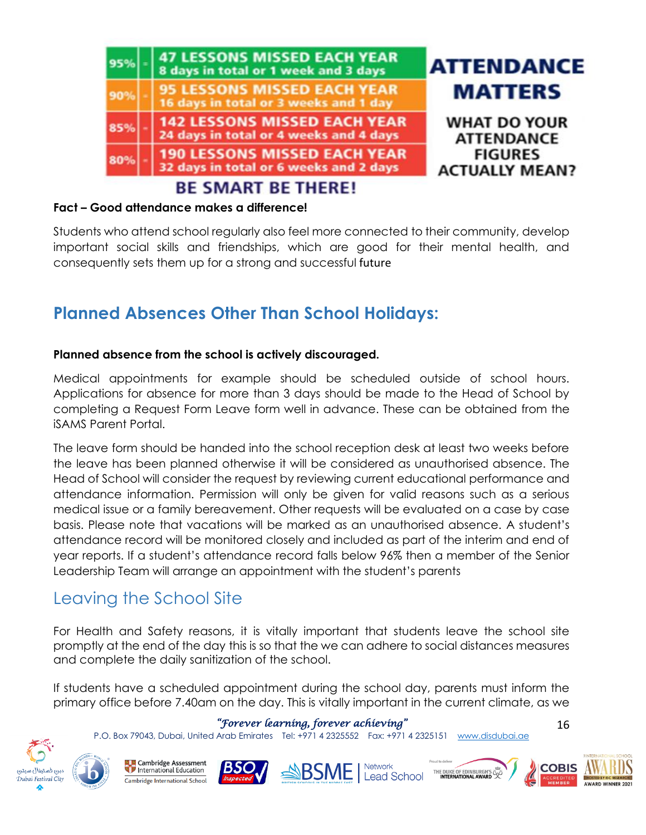![](_page_15_Picture_0.jpeg)

#### **Fact – Good attendance makes a difference!**

Students who attend school regularly also feel more connected to their community, develop important social skills and friendships, which are good for their mental health, and consequently sets them up for a strong and successful future

### **Planned Absences Other Than School Holidays:**

#### **Planned absence from the school is actively discouraged.**

Medical appointments for example should be scheduled outside of school hours. Applications for absence for more than 3 days should be made to the Head of School by completing a Request Form Leave form well in advance. These can be obtained from the iSAMS Parent Portal.

The leave form should be handed into the school reception desk at least two weeks before the leave has been planned otherwise it will be considered as unauthorised absence. The Head of School will consider the request by reviewing current educational performance and attendance information. Permission will only be given for valid reasons such as a serious medical issue or a family bereavement. Other requests will be evaluated on a case by case basis. Please note that vacations will be marked as an unauthorised absence. A student's attendance record will be monitored closely and included as part of the interim and end of year reports. If a student's attendance record falls below 96% then a member of the Senior Leadership Team will arrange an appointment with the student's parents

### Leaving the School Site

For Health and Safety reasons, it is vitally important that students leave the school site promptly at the end of the day this is so that the we can adhere to social distances measures and complete the daily sanitization of the school.

If students have a scheduled appointment during the school day, parents must inform the primary office before 7.40am on the day. This is vitally important in the current climate, as we

#### *"Forever learning, forever achieving"*

P.O. Box 79043, Dubai, United Arab Emirates Tel: +971 4 2325552 Fax: +971 4 2325151 [www.disdubai.ae](http://www.disdubai.ae/)

![](_page_15_Picture_12.jpeg)

![](_page_15_Picture_13.jpeg)

![](_page_15_Picture_14.jpeg)

![](_page_15_Picture_15.jpeg)

![](_page_15_Picture_16.jpeg)

![](_page_15_Picture_17.jpeg)

![](_page_15_Picture_18.jpeg)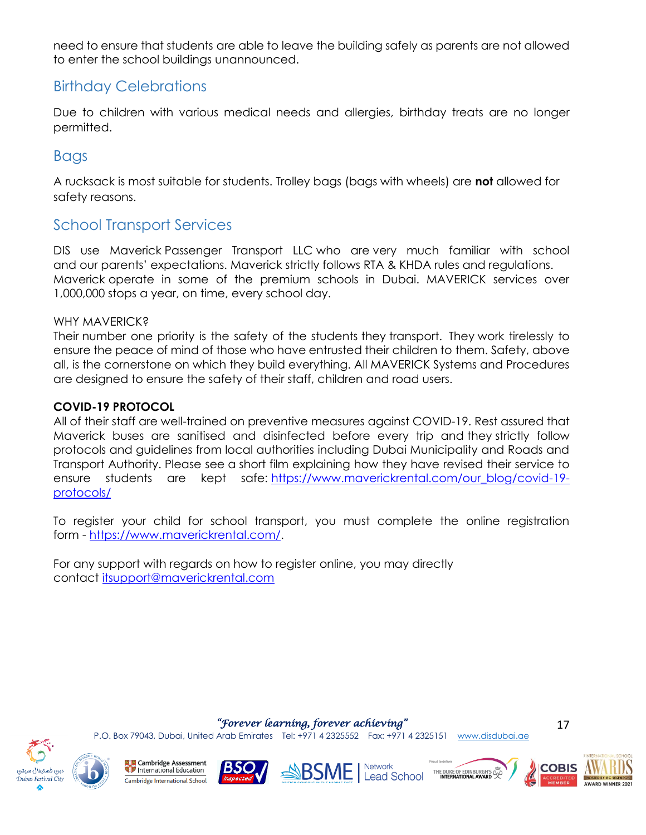need to ensure that students are able to leave the building safely as parents are not allowed to enter the school buildings unannounced.

### Birthday Celebrations

Due to children with various medical needs and allergies, birthday treats are no longer permitted.

### Bags

A rucksack is most suitable for students. Trolley bags (bags with wheels) are **not** allowed for safety reasons.

### School Transport Services

DIS use Maverick Passenger Transport LLC who are very much familiar with school and our parents' expectations. Maverick strictly follows RTA & KHDA rules and regulations. Maverick operate in some of the premium schools in Dubai. MAVERICK services over 1,000,000 stops a year, on time, every school day.

#### WHY MAVERICK?

Their number one priority is the safety of the students they transport. They work tirelessly to ensure the peace of mind of those who have entrusted their children to them. Safety, above all, is the cornerstone on which they build everything. All MAVERICK Systems and Procedures are designed to ensure the safety of their staff, children and road users.

### **COVID-19 PROTOCOL**

All of their staff are well-trained on preventive measures against COVID-19. Rest assured that Maverick buses are sanitised and disinfected before every trip and they strictly follow protocols and guidelines from local authorities including Dubai Municipality and Roads and Transport Authority. Please see a short film explaining how they have revised their service to ensure students are kept safe: [https://www.maverickrental.com/our\\_blog/covid-19](https://www.maverickrental.com/our_blog/covid-19-protocols/) [protocols/](https://www.maverickrental.com/our_blog/covid-19-protocols/)

To register your child for school transport, you must complete the online registration form - [https://www.maverickrental.com/.](https://www.maverickrental.com/)

For any support with regards on how to register online, you may directly contact [itsupport@maverickrental.com](mailto:itsupport@maverickrental.com)

*"Forever learning, forever achieving"* 

P.O. Box 79043, Dubai, United Arab Emirates Tel: +971 4 2325552 Fax: +971 4 2325151 [www.disdubai.ae](http://www.disdubai.ae/)

![](_page_16_Picture_15.jpeg)

![](_page_16_Picture_16.jpeg)

![](_page_16_Picture_17.jpeg)

![](_page_16_Picture_18.jpeg)

![](_page_16_Picture_20.jpeg)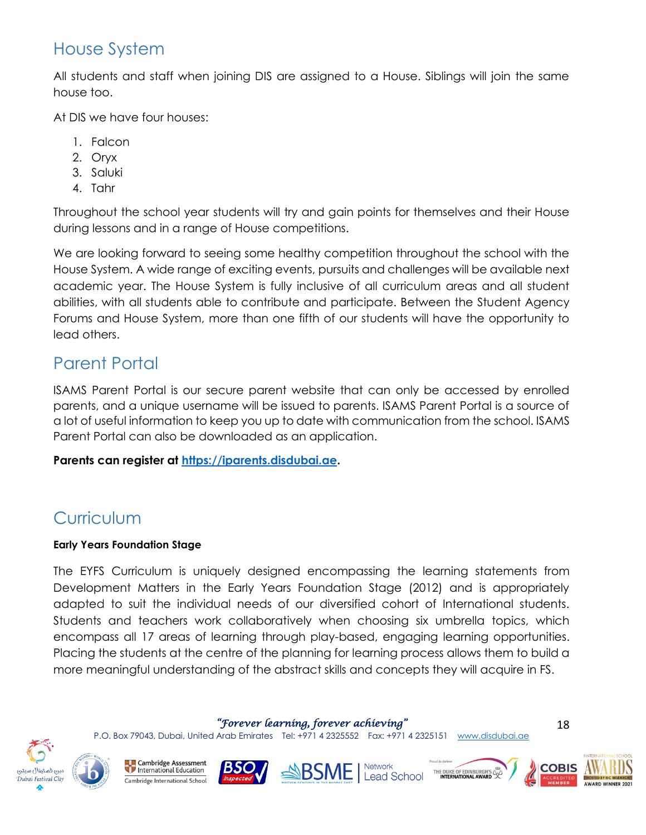### House System

All students and staff when joining DIS are assigned to a House. Siblings will join the same house too.

At DIS we have four houses:

- 1. Falcon
- 2. Oryx
- 3. Saluki
- 4. Tahr

Throughout the school year students will try and gain points for themselves and their House during lessons and in a range of House competitions.

We are looking forward to seeing some healthy competition throughout the school with the House System. A wide range of exciting events, pursuits and challenges will be available next academic year. The House System is fully inclusive of all curriculum areas and all student abilities, with all students able to contribute and participate. Between the Student Agency Forums and House System, more than one fifth of our students will have the opportunity to lead others.

# Parent Portal

ISAMS Parent Portal is our secure parent website that can only be accessed by enrolled parents, and a unique username will be issued to parents. ISAMS Parent Portal is a source of a lot of useful information to keep you up to date with communication from the school. ISAMS Parent Portal can also be downloaded as an application.

### **Parents can register at [https://iparents.disdubai.ae.](https://iparents.disdubai.ae/)**

# **Curriculum**

### **Early Years Foundation Stage**

The EYFS Curriculum is uniquely designed encompassing the learning statements from Development Matters in the Early Years Foundation Stage (2012) and is appropriately adapted to suit the individual needs of our diversified cohort of International students. Students and teachers work collaboratively when choosing six umbrella topics, which encompass all 17 areas of learning through play-based, engaging learning opportunities. Placing the students at the centre of the planning for learning process allows them to build a more meaningful understanding of the abstract skills and concepts they will acquire in FS.

*"Forever learning, forever achieving"* 

P.O. Box 79043, Dubai, United Arab Emirates Tel: +971 4 2325552 Fax: +971 4 2325151 [www.disdubai.ae](http://www.disdubai.ae/)

![](_page_17_Picture_17.jpeg)

![](_page_17_Picture_18.jpeg)

**Cambridge Assessment** International Education Cambridge International School

![](_page_17_Picture_20.jpeg)

**SASSME** Network **Lead School** 

![](_page_17_Picture_22.jpeg)

![](_page_17_Picture_23.jpeg)

![](_page_17_Picture_24.jpeg)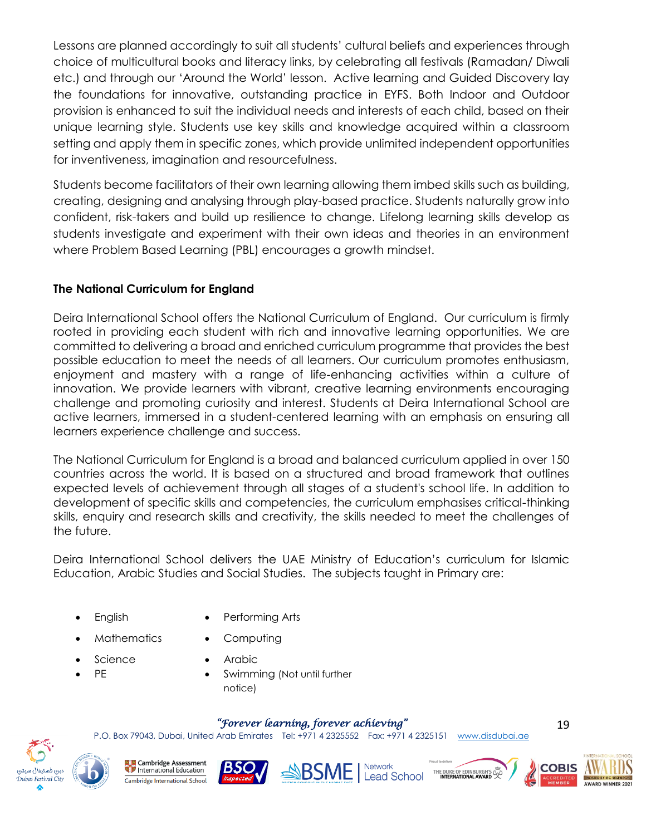Lessons are planned accordingly to suit all students' cultural beliefs and experiences through choice of multicultural books and literacy links, by celebrating all festivals (Ramadan/ Diwali etc.) and through our 'Around the World' lesson. Active learning and Guided Discovery lay the foundations for innovative, outstanding practice in EYFS. Both Indoor and Outdoor provision is enhanced to suit the individual needs and interests of each child, based on their unique learning style. Students use key skills and knowledge acquired within a classroom setting and apply them in specific zones, which provide unlimited independent opportunities for inventiveness, imagination and resourcefulness.

Students become facilitators of their own learning allowing them imbed skills such as building, creating, designing and analysing through play-based practice. Students naturally grow into confident, risk-takers and build up resilience to change. Lifelong learning skills develop as students investigate and experiment with their own ideas and theories in an environment where Problem Based Learning (PBL) encourages a growth mindset.

### **The National Curriculum for England**

Deira International School offers the National Curriculum of England. Our curriculum is firmly rooted in providing each student with rich and innovative learning opportunities. We are committed to delivering a broad and enriched curriculum programme that provides the best possible education to meet the needs of all learners. Our curriculum promotes enthusiasm, enjoyment and mastery with a range of life-enhancing activities within a culture of innovation. We provide learners with vibrant, creative learning environments encouraging challenge and promoting curiosity and interest. Students at Deira International School are active learners, immersed in a student-centered learning with an emphasis on ensuring all learners experience challenge and success.

The National Curriculum for England is a broad and balanced curriculum applied in over 150 countries across the world. It is based on a structured and broad framework that outlines expected levels of achievement through all stages of a student's school life. In addition to development of specific skills and competencies, the curriculum emphasises critical-thinking skills, enquiry and research skills and creativity, the skills needed to meet the challenges of the future.

Deira International School delivers the UAE Ministry of Education's curriculum for Islamic Education, Arabic Studies and Social Studies. The subjects taught in Primary are:

- 
- English Performing Arts
- Mathematics Computing
	- **Arabic**
- **Science** • PE
- Swimming (Not until further notice)

### *"Forever learning, forever achieving"*

P.O. Box 79043, Dubai, United Arab Emirates Tel: +971 4 2325552 Fax: +971 4 2325151 [www.disdubai.ae](http://www.disdubai.ae/)

![](_page_18_Picture_14.jpeg)

**Cambridge Assessment** International Education Cambridge International School

![](_page_18_Picture_16.jpeg)

![](_page_18_Picture_17.jpeg)

![](_page_18_Picture_18.jpeg)

![](_page_18_Picture_19.jpeg)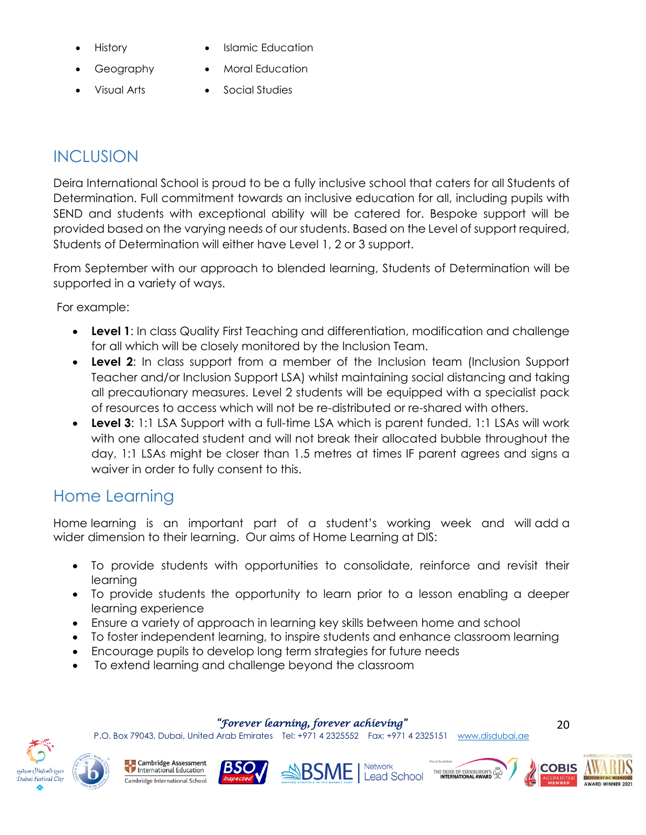- - History Islamic Education
	- Geography Moral Education
	- Visual Arts Social Studies

# **INCLUSION**

Deira International School is proud to be a fully inclusive school that caters for all Students of Determination. Full commitment towards an inclusive education for all, including pupils with SEND and students with exceptional ability will be catered for. Bespoke support will be provided based on the varying needs of our students. Based on the Level of support required, Students of Determination will either have Level 1, 2 or 3 support.

From September with our approach to blended learning, Students of Determination will be supported in a variety of ways.

For example:

- **Level 1**: In class Quality First Teaching and differentiation, modification and challenge for all which will be closely monitored by the Inclusion Team.
- **Level 2**: In class support from a member of the Inclusion team (Inclusion Support Teacher and/or Inclusion Support LSA) whilst maintaining social distancing and taking all precautionary measures. Level 2 students will be equipped with a specialist pack of resources to access which will not be re-distributed or re-shared with others.
- **Level 3**: 1:1 LSA Support with a full-time LSA which is parent funded. 1:1 LSAs will work with one allocated student and will not break their allocated bubble throughout the day, 1:1 LSAs might be closer than 1.5 metres at times IF parent agrees and signs a waiver in order to fully consent to this.

# Home Learning

Home learning is an important part of a student's working week and will add a wider dimension to their learning. Our aims of Home Learning at DIS:

- To provide students with opportunities to consolidate, reinforce and revisit their learning
- To provide students the opportunity to learn prior to a lesson enabling a deeper learning experience
- Ensure a variety of approach in learning key skills between home and school
- To foster independent learning, to inspire students and enhance classroom learning
- Encourage pupils to develop long term strategies for future needs
- To extend learning and challenge beyond the classroom

*"Forever learning, forever achieving"* 

P.O. Box 79043, Dubai, United Arab Emirates Tel: +971 4 2325552 Fax: +971 4 2325151 [www.disdubai.ae](http://www.disdubai.ae/)

![](_page_19_Picture_21.jpeg)

![](_page_19_Picture_23.jpeg)

![](_page_19_Picture_24.jpeg)

![](_page_19_Picture_26.jpeg)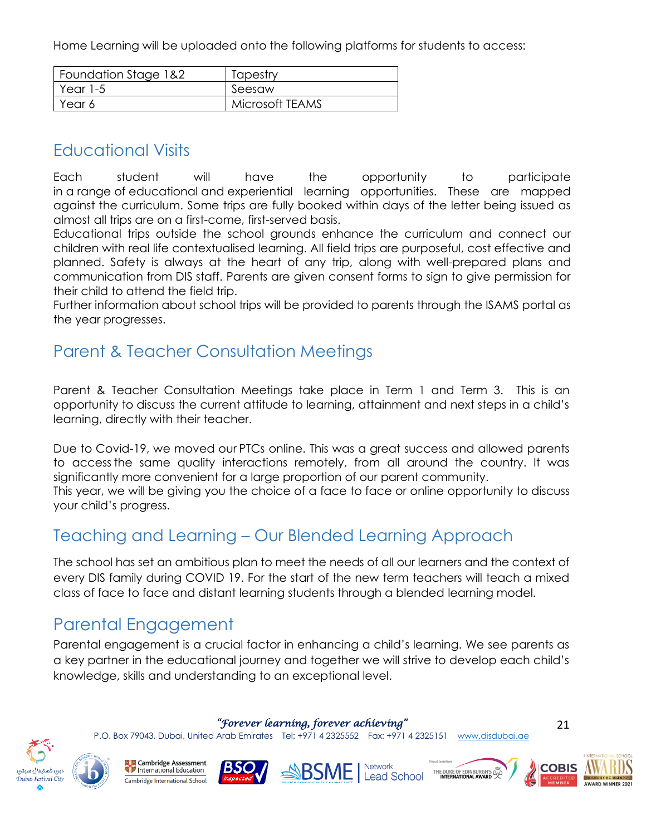Home Learning will be uploaded onto the following platforms for students to access:

| Foundation Stage 1&2 | Tapestry        |
|----------------------|-----------------|
| Year 1-5             | Seesaw          |
| Year 6               | Microsoft TEAMS |

### Educational Visits

Each student will have the opportunity to participate in a range of educational and experiential learning opportunities. These are mapped against the curriculum. Some trips are fully booked within days of the letter being issued as almost all trips are on a first-come, first-served basis.

Educational trips outside the school grounds enhance the curriculum and connect our children with real life contextualised learning. All field trips are purposeful, cost effective and planned. Safety is always at the heart of any trip, along with well-prepared plans and communication from DIS staff. Parents are given consent forms to sign to give permission for their child to attend the field trip.

Further information about school trips will be provided to parents through the ISAMS portal as the year progresses.

### Parent & Teacher Consultation Meetings

Parent & Teacher Consultation Meetings take place in Term 1 and Term 3. This is an opportunity to discuss the current attitude to learning, attainment and next steps in a child's learning, directly with their teacher.  

Due to Covid-19, we moved our PTCs online. This was a great success and allowed parents to access the same quality interactions remotely, from all around the country. It was significantly more convenient for a large proportion of our parent community. This year, we will be giving you the choice of a face to face or online opportunity to discuss your child's progress.

### Teaching and Learning – Our Blended Learning Approach

The school has set an ambitious plan to meet the needs of all our learners and the context of every DIS family during COVID 19. For the start of the new term teachers will teach a mixed class of face to face and distant learning students through a blended learning model.

### Parental Engagement

Parental engagement is a crucial factor in enhancing a child's learning. We see parents as a key partner in the educational journey and together we will strive to develop each child's knowledge, skills and understanding to an exceptional level.

*"Forever learning, forever achieving"* 

P.O. Box 79043, Dubai, United Arab Emirates Tel: +971 4 2325552 Fax: +971 4 2325151 [www.disdubai.ae](http://www.disdubai.ae/)

![](_page_20_Picture_15.jpeg)

![](_page_20_Picture_17.jpeg)

![](_page_20_Picture_18.jpeg)

![](_page_20_Picture_19.jpeg)

![](_page_20_Picture_20.jpeg)

![](_page_20_Picture_21.jpeg)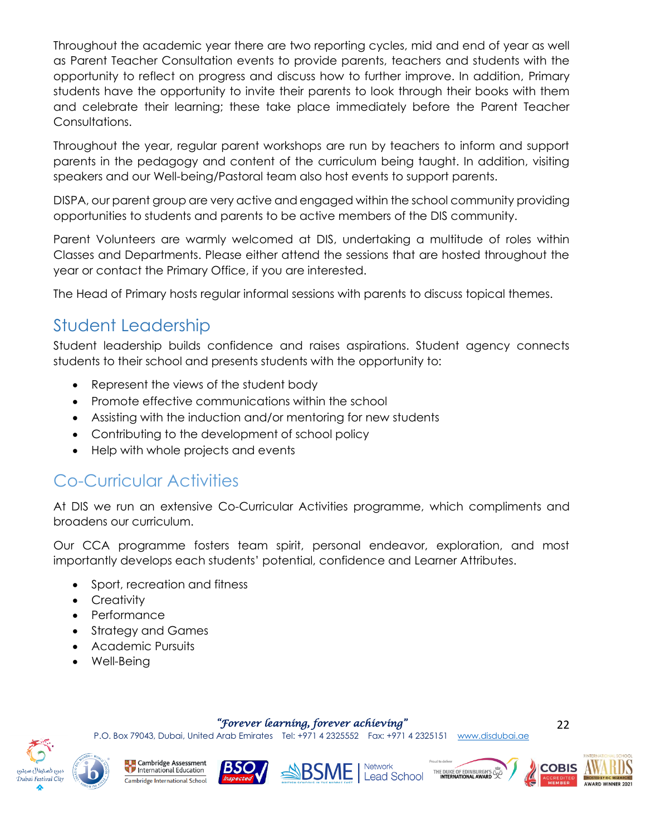Throughout the academic year there are two reporting cycles, mid and end of year as well as Parent Teacher Consultation events to provide parents, teachers and students with the opportunity to reflect on progress and discuss how to further improve. In addition, Primary students have the opportunity to invite their parents to look through their books with them and celebrate their learning; these take place immediately before the Parent Teacher Consultations.

Throughout the year, regular parent workshops are run by teachers to inform and support parents in the pedagogy and content of the curriculum being taught. In addition, visiting speakers and our Well-being/Pastoral team also host events to support parents.

DISPA, our parent group are very active and engaged within the school community providing opportunities to students and parents to be active members of the DIS community.

Parent Volunteers are warmly welcomed at DIS, undertaking a multitude of roles within Classes and Departments. Please either attend the sessions that are hosted throughout the year or contact the Primary Office, if you are interested.

The Head of Primary hosts regular informal sessions with parents to discuss topical themes.

# Student Leadership

Student leadership builds confidence and raises aspirations. Student agency connects students to their school and presents students with the opportunity to:

- Represent the views of the student body
- Promote effective communications within the school
- Assisting with the induction and/or mentoring for new students
- Contributing to the development of school policy
- Help with whole projects and events

# <span id="page-21-0"></span>Co-Curricular Activities

At DIS we run an extensive Co-Curricular Activities programme, which compliments and broadens our curriculum.

Our CCA programme fosters team spirit, personal endeavor, exploration, and most importantly develops each students' potential, confidence and Learner Attributes.

- Sport, recreation and fitness
- Creativity
- Performance
- Strategy and Games
- Academic Pursuits
- Well-Being

*"Forever learning, forever achieving"* 

P.O. Box 79043, Dubai, United Arab Emirates Tel: +971 4 2325552 Fax: +971 4 2325151 [www.disdubai.ae](http://www.disdubai.ae/)

![](_page_21_Picture_23.jpeg)

**Cambridge Assessment** International Education Cambridge International School

![](_page_21_Picture_25.jpeg)

![](_page_21_Picture_26.jpeg)

![](_page_21_Picture_28.jpeg)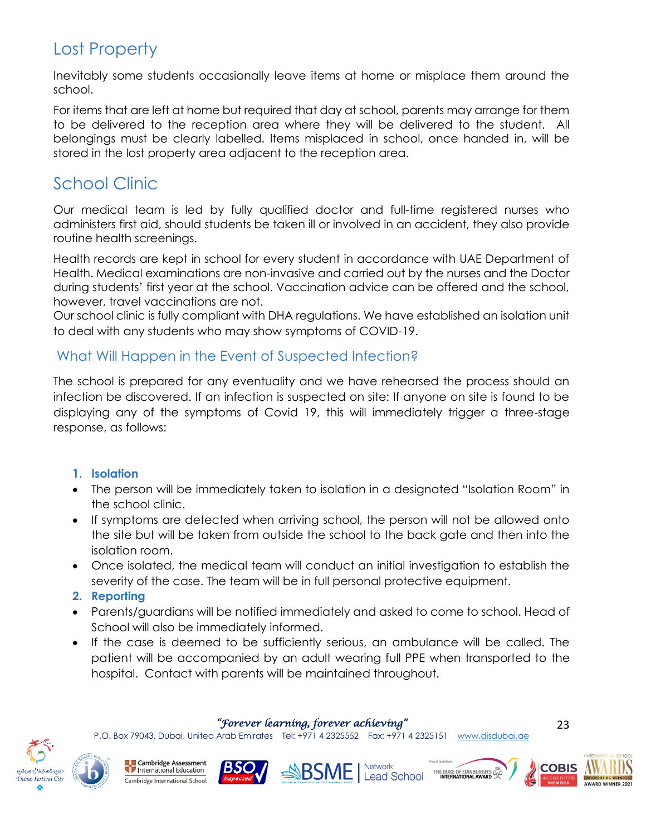# Lost Property

Inevitably some students occasionally leave items at home or misplace them around the school.

For items that are left at home but required that day at school, parents may arrange for them to be delivered to the reception area where they will be delivered to the student. All belongings must be clearly labelled. Items misplaced in school, once handed in, will be stored in the lost property area adjacent to the reception area.

# School Clinic

Our medical team is led by fully qualified doctor and full-time registered nurses who administers first aid, should students be taken ill or involved in an accident, they also provide routine health screenings.

Health records are kept in school for every student in accordance with UAE Department of Health. Medical examinations are non-invasive and carried out by the nurses and the Doctor during students' first year at the school. Vaccination advice can be offered and the school, however, travel vaccinations are not.

Our school clinic is fully compliant with DHA regulations. We have established an isolation unit to deal with any students who may show symptoms of COVID-19.

### What Will Happen in the Event of Suspected Infection?

The school is prepared for any eventuality and we have rehearsed the process should an infection be discovered. If an infection is suspected on site: If anyone on site is found to be displaying any of the symptoms of Covid 19, this will immediately trigger a three-stage response, as follows:

#### **1. Isolation**

- The person will be immediately taken to isolation in a designated "Isolation Room" in the school clinic.
- If symptoms are detected when arriving school, the person will not be allowed onto the site but will be taken from outside the school to the back gate and then into the isolation room.
- Once isolated, the medical team will conduct an initial investigation to establish the severity of the case. The team will be in full personal protective equipment.
- **2. Reporting**
- Parents/guardians will be notified immediately and asked to come to school. Head of School will also be immediately informed.
- If the case is deemed to be sufficiently serious, an ambulance will be called. The patient will be accompanied by an adult wearing full PPE when transported to the hospital. Contact with parents will be maintained throughout.

*"Forever learning, forever achieving"* 

P.O. Box 79043, Dubai, United Arab Emirates Tel: +971 4 2325552 Fax: +971 4 2325151 [www.disdubai.ae](http://www.disdubai.ae/)

![](_page_22_Picture_18.jpeg)

**Cambridge Assessment** International Education Cambridge International School

![](_page_22_Picture_20.jpeg)

![](_page_22_Picture_21.jpeg)

![](_page_22_Picture_22.jpeg)

![](_page_22_Picture_23.jpeg)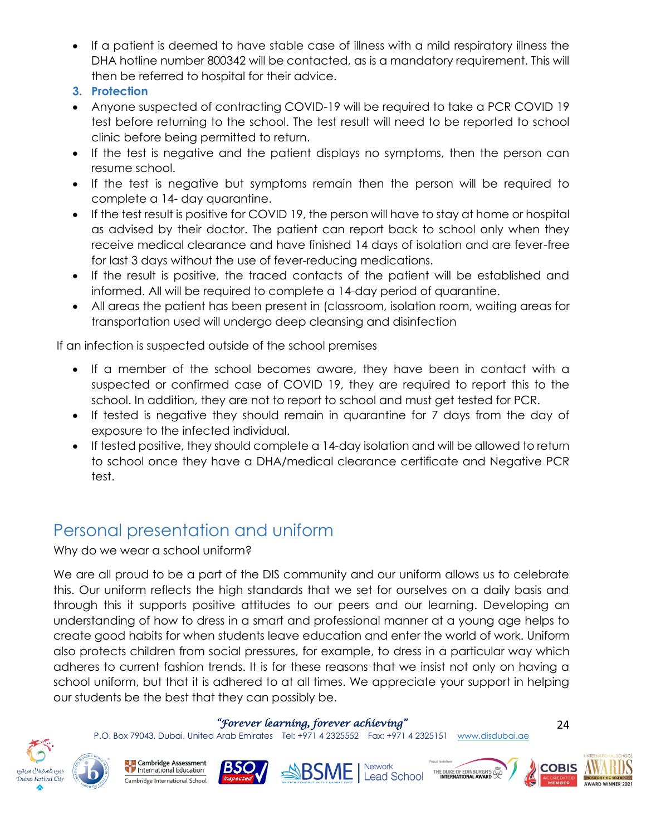- If a patient is deemed to have stable case of illness with a mild respiratory illness the DHA hotline number 800342 will be contacted, as is a mandatory requirement. This will then be referred to hospital for their advice.
- **3. Protection**
- Anyone suspected of contracting COVID-19 will be required to take a PCR COVID 19 test before returning to the school. The test result will need to be reported to school clinic before being permitted to return.
- If the test is negative and the patient displays no symptoms, then the person can resume school.
- If the test is negative but symptoms remain then the person will be required to complete a 14- day quarantine.
- If the test result is positive for COVID 19, the person will have to stay at home or hospital as advised by their doctor. The patient can report back to school only when they receive medical clearance and have finished 14 days of isolation and are fever-free for last 3 days without the use of fever-reducing medications.
- If the result is positive, the traced contacts of the patient will be established and informed. All will be required to complete a 14-day period of quarantine.
- All areas the patient has been present in (classroom, isolation room, waiting areas for transportation used will undergo deep cleansing and disinfection

If an infection is suspected outside of the school premises

- If a member of the school becomes aware, they have been in contact with a suspected or confirmed case of COVID 19, they are required to report this to the school. In addition, they are not to report to school and must get tested for PCR.
- If tested is negative they should remain in quarantine for 7 days from the day of exposure to the infected individual.
- If tested positive, they should complete a 14-day isolation and will be allowed to return to school once they have a DHA/medical clearance certificate and Negative PCR test.

# Personal presentation and uniform

Why do we wear a school uniform?

We are all proud to be a part of the DIS community and our uniform allows us to celebrate this. Our uniform reflects the high standards that we set for ourselves on a daily basis and through this it supports positive attitudes to our peers and our learning. Developing an understanding of how to dress in a smart and professional manner at a young age helps to create good habits for when students leave education and enter the world of work. Uniform also protects children from social pressures, for example, to dress in a particular way which adheres to current fashion trends. It is for these reasons that we insist not only on having a school uniform, but that it is adhered to at all times. We appreciate your support in helping our students be the best that they can possibly be.

#### *"Forever learning, forever achieving"*

P.O. Box 79043, Dubai, United Arab Emirates Tel: +971 4 2325552 Fax: +971 4 2325151 [www.disdubai.ae](http://www.disdubai.ae/)

![](_page_23_Picture_17.jpeg)

Cambridge Assessment International Education Cambridge International School

![](_page_23_Picture_19.jpeg)

![](_page_23_Picture_20.jpeg)

![](_page_23_Picture_22.jpeg)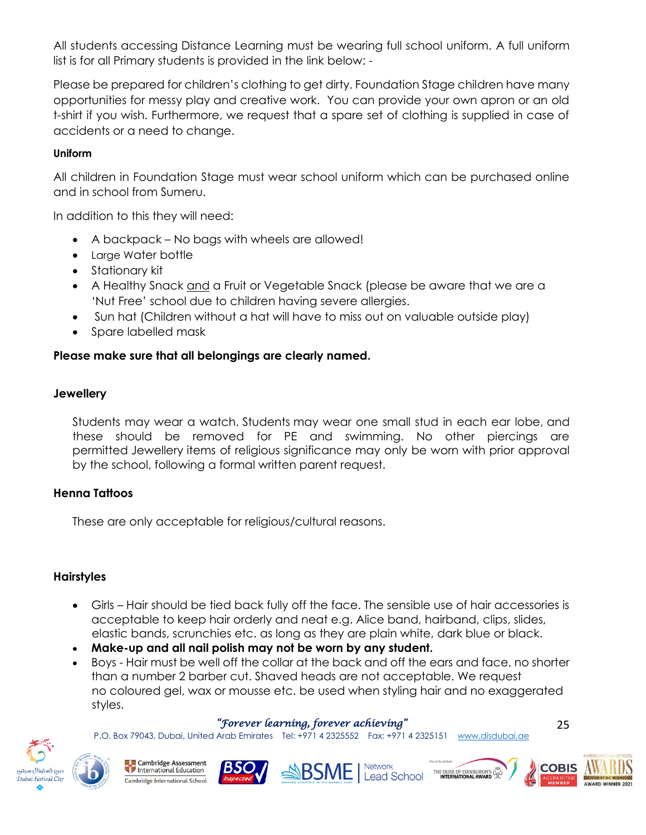All students accessing Distance Learning must be wearing full school uniform. A full uniform list is for all Primary students is provided in the link below: -

Please be prepared for children's clothing to get dirty. Foundation Stage children have many opportunities for messy play and creative work. You can provide your own apron or an old t-shirt if you wish. Furthermore, we request that a spare set of clothing is supplied in case of accidents or a need to change.

#### **Uniform**

All children in Foundation Stage must wear school uniform which can be purchased online and in school from Sumeru.

In addition to this they will need:

- A backpack No bags with wheels are allowed!
- Large Water bottle
- Stationary kit
- A Healthy Snack and a Fruit or Vegetable Snack (please be aware that we are a 'Nut Free' school due to children having severe allergies.
- Sun hat (Children without a hat will have to miss out on valuable outside play)
- Spare labelled mask

### **Please make sure that all belongings are clearly named.**

### **Jewellery**

Students may wear a watch. Students may wear one small stud in each ear lobe, and these should be removed for PE and swimming. No other piercings are permitted Jewellery items of religious significance may only be worn with prior approval by the school, following a formal written parent request.

### **Henna Tattoos**

These are only acceptable for religious/cultural reasons.

### **Hairstyles**

- Girls Hair should be tied back fully off the face. The sensible use of hair accessories is acceptable to keep hair orderly and neat e.g. Alice band, hairband, clips, slides, elastic bands, scrunchies etc. as long as they are plain white, dark blue or black.
- **Make-up and all nail polish may not be worn by any student.**
- Boys Hair must be well off the collar at the back and off the ears and face, no shorter than a number 2 barber cut. Shaved heads are not acceptable. We request no coloured gel, wax or mousse etc. be used when styling hair and no exaggerated styles.

### *"Forever learning, forever achieving"*

P.O. Box 79043, Dubai, United Arab Emirates Tel: +971 4 2325552 Fax: +971 4 2325151 [www.disdubai.ae](http://www.disdubai.ae/)

![](_page_24_Picture_22.jpeg)

Cambridge Assessment International Education Cambridge International School

![](_page_24_Picture_24.jpeg)

![](_page_24_Picture_25.jpeg)

![](_page_24_Picture_26.jpeg)

![](_page_24_Picture_27.jpeg)

![](_page_24_Picture_28.jpeg)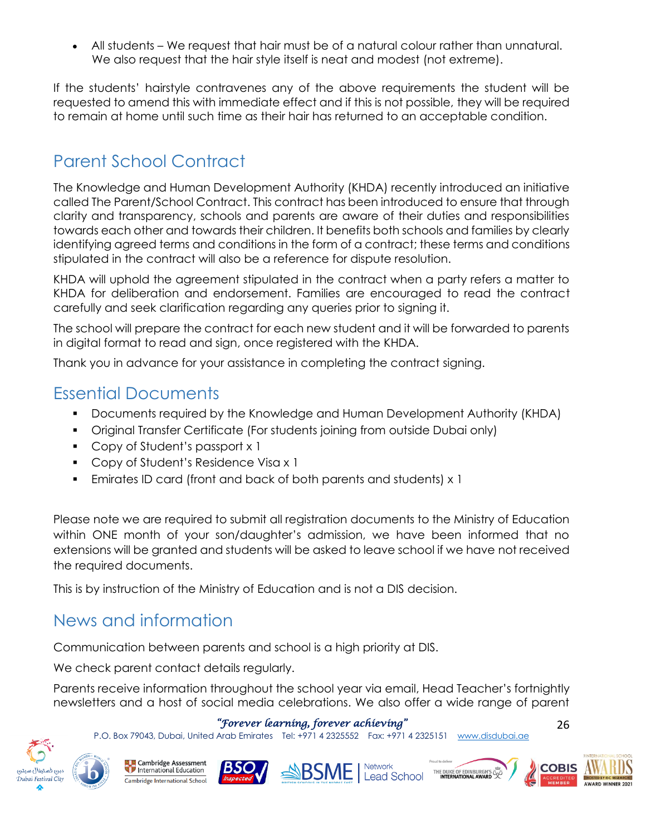• All students – We request that hair must be of a natural colour rather than unnatural. We also request that the hair style itself is neat and modest (not extreme).

If the students' hairstyle contravenes any of the above requirements the student will be requested to amend this with immediate effect and if this is not possible, they will be required to remain at home until such time as their hair has returned to an acceptable condition.

# Parent School Contract

The Knowledge and Human Development Authority (KHDA) recently introduced an initiative called The Parent/School Contract. This contract has been introduced to ensure that through clarity and transparency, schools and parents are aware of their duties and responsibilities towards each other and towards their children. It benefits both schools and families by clearly identifying agreed terms and conditions in the form of a contract; these terms and conditions stipulated in the contract will also be a reference for dispute resolution.

KHDA will uphold the agreement stipulated in the contract when a party refers a matter to KHDA for deliberation and endorsement. Families are encouraged to read the contract carefully and seek clarification regarding any queries prior to signing it.

The school will prepare the contract for each new student and it will be forwarded to parents in digital format to read and sign, once registered with the KHDA.

Thank you in advance for your assistance in completing the contract signing.

### Essential Documents

- Documents required by the Knowledge and Human Development Authority (KHDA)
- Original Transfer Certificate (For students joining from outside Dubai only)
- Copy of Student's passport x 1
- Copy of Student's Residence Visa x 1
- Emirates ID card (front and back of both parents and students) x 1

Please note we are required to submit all registration documents to the Ministry of Education within ONE month of your son/daughter's admission, we have been informed that no extensions will be granted and students will be asked to leave school if we have not received the required documents.

This is by instruction of the Ministry of Education and is not a DIS decision.

### News and information

Communication between parents and school is a high priority at DIS.

We check parent contact details regularly.

Parents receive information throughout the school year via email, Head Teacher's fortnightly newsletters and a host of social media celebrations. We also offer a wide range of parent

### *"Forever learning, forever achieving"*

P.O. Box 79043, Dubai, United Arab Emirates Tel: +971 4 2325552 Fax: +971 4 2325151 [www.disdubai.ae](http://www.disdubai.ae/)

![](_page_25_Picture_21.jpeg)

**Cambridge Assessment** International Education Cambridge International School

![](_page_25_Picture_23.jpeg)

![](_page_25_Picture_24.jpeg)

![](_page_25_Picture_25.jpeg)

![](_page_25_Picture_26.jpeg)

![](_page_25_Picture_27.jpeg)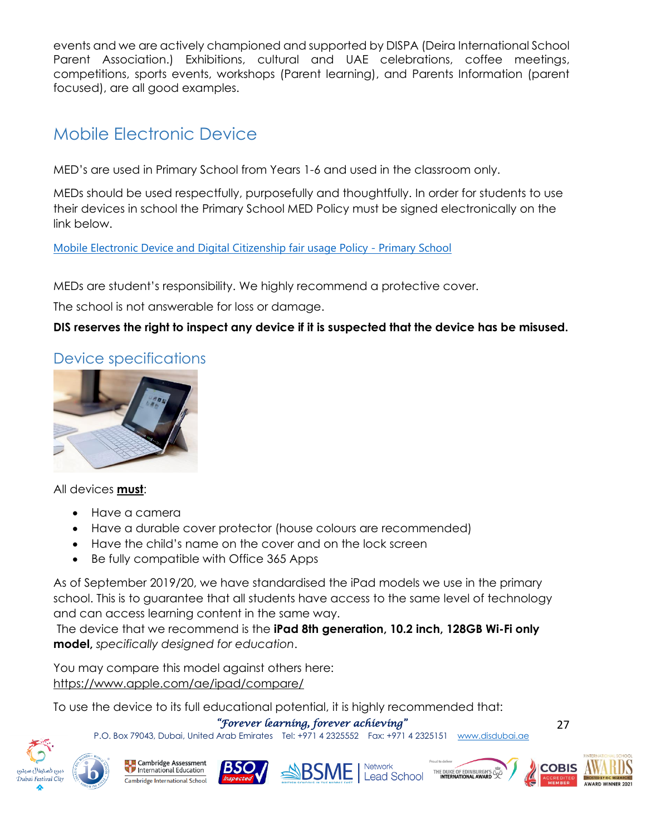events and we are actively championed and supported by DISPA (Deira International School Parent Association.) Exhibitions, cultural and UAE celebrations, coffee meetings, competitions, sports events, workshops (Parent learning), and Parents Information (parent focused), are all good examples.

# Mobile Electronic Device

MED's are used in Primary School from Years 1-6 and used in the classroom only.

MEDs should be used respectfully, purposefully and thoughtfully. In order for students to use their devices in school the Primary School MED Policy must be signed electronically on the link below.

[Mobile Electronic Device and Digital Citizenship fair usage Policy -](https://forms.office.com/r/DjdGhU28Y5) Primary School

MEDs are student's responsibility. We highly recommend a protective cover.

The school is not answerable for loss or damage.

**DIS reserves the right to inspect any device if it is suspected that the device has be misused.** 

### Device specifications

![](_page_26_Picture_9.jpeg)

All devices **must**:

- Have a camera
- Have a durable cover protector (house colours are recommended)
- Have the child's name on the cover and on the lock screen
- Be fully compatible with Office 365 Apps

As of September 2019/20, we have standardised the iPad models we use in the primary school. This is to guarantee that all students have access to the same level of technology and can access learning content in the same way.

The device that we recommend is the **iPad 8th generation, 10.2 inch, 128GB Wi-Fi only model,** *specifically designed for education*.

You may compare this model against others here: <https://www.apple.com/ae/ipad/compare/>

To use the device to its full educational potential, it is highly recommended that:

*"Forever learning, forever achieving"* 

P.O. Box 79043, Dubai, United Arab Emirates Tel: +971 4 2325552 Fax: +971 4 2325151 [www.disdubai.ae](http://www.disdubai.ae/)

![](_page_26_Picture_21.jpeg)

![](_page_26_Picture_22.jpeg)

![](_page_26_Picture_23.jpeg)

![](_page_26_Picture_24.jpeg)

![](_page_26_Picture_25.jpeg)

![](_page_26_Picture_26.jpeg)